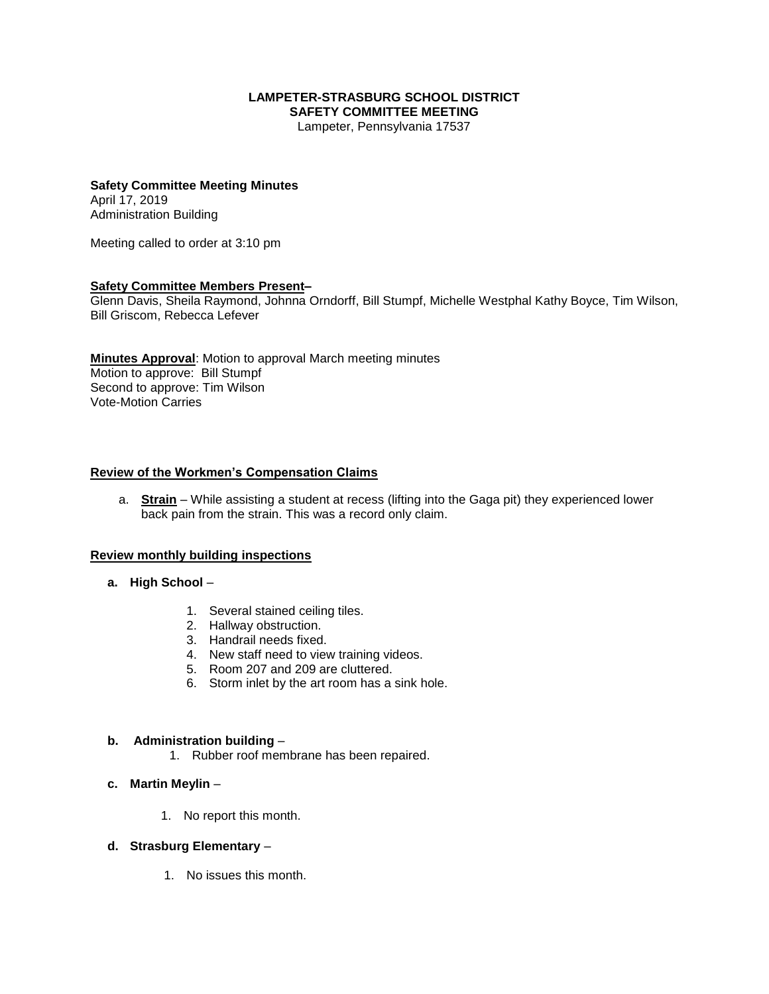#### **LAMPETER-STRASBURG SCHOOL DISTRICT SAFETY COMMITTEE MEETING**

Lampeter, Pennsylvania 17537

#### **Safety Committee Meeting Minutes** April 17, 2019 Administration Building

Meeting called to order at 3:10 pm

### **Safety Committee Members Present–**

Glenn Davis, Sheila Raymond, Johnna Orndorff, Bill Stumpf, Michelle Westphal Kathy Boyce, Tim Wilson, Bill Griscom, Rebecca Lefever

**Minutes Approval**: Motion to approval March meeting minutes Motion to approve: Bill Stumpf Second to approve: Tim Wilson Vote-Motion Carries

## **Review of the Workmen's Compensation Claims**

a. **Strain** – While assisting a student at recess (lifting into the Gaga pit) they experienced lower back pain from the strain. This was a record only claim.

### **Review monthly building inspections**

## **a. High School** –

- 1. Several stained ceiling tiles.
- 2. Hallway obstruction.
- 3. Handrail needs fixed.
- 4. New staff need to view training videos.
- 5. Room 207 and 209 are cluttered.
- 6. Storm inlet by the art room has a sink hole.

### **b. Administration building** –

1. Rubber roof membrane has been repaired.

## **c. Martin Meylin** –

1. No report this month.

### **d. Strasburg Elementary** –

1. No issues this month.